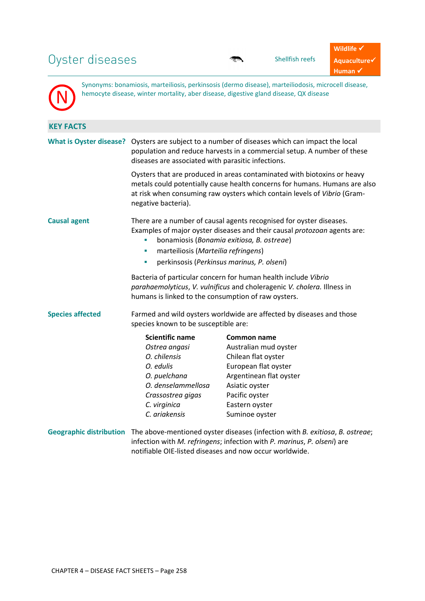# Oyster diseases shellfish reefs

N

Synonyms: bonamiosis, marteiliosis, perkinsosis (dermo disease), marteiliodosis, microcell disease, hemocyte disease, winter mortality, aber disease, digestive gland disease, QX disease

| <b>KEY FACTS</b>               |                                                                                                                                                                                                                                                                                             |                                                                                                                                                                                                                                            |  |
|--------------------------------|---------------------------------------------------------------------------------------------------------------------------------------------------------------------------------------------------------------------------------------------------------------------------------------------|--------------------------------------------------------------------------------------------------------------------------------------------------------------------------------------------------------------------------------------------|--|
| <b>What is Oyster disease?</b> | Oysters are subject to a number of diseases which can impact the local<br>population and reduce harvests in a commercial setup. A number of these<br>diseases are associated with parasitic infections.                                                                                     |                                                                                                                                                                                                                                            |  |
|                                | Oysters that are produced in areas contaminated with biotoxins or heavy<br>metals could potentially cause health concerns for humans. Humans are also<br>at risk when consuming raw oysters which contain levels of Vibrio (Gram-<br>negative bacteria).                                    |                                                                                                                                                                                                                                            |  |
| <b>Causal agent</b>            | There are a number of causal agents recognised for oyster diseases.<br>Examples of major oyster diseases and their causal protozoan agents are:<br>bonamiosis (Bonamia exitiosa, B. ostreae)<br>marteiliosis (Marteilia refringens)<br>п<br>perkinsosis (Perkinsus marinus, P. olseni)<br>× |                                                                                                                                                                                                                                            |  |
|                                | Bacteria of particular concern for human health include Vibrio<br>parahaemolyticus, V. vulnificus and choleragenic V. cholera. Illness in<br>humans is linked to the consumption of raw oysters.                                                                                            |                                                                                                                                                                                                                                            |  |
| <b>Species affected</b>        | Farmed and wild oysters worldwide are affected by diseases and those<br>species known to be susceptible are:                                                                                                                                                                                |                                                                                                                                                                                                                                            |  |
|                                | <b>Scientific name</b>                                                                                                                                                                                                                                                                      | Common name                                                                                                                                                                                                                                |  |
|                                | Ostrea angasi                                                                                                                                                                                                                                                                               | Australian mud oyster                                                                                                                                                                                                                      |  |
|                                | O. chilensis                                                                                                                                                                                                                                                                                | Chilean flat oyster                                                                                                                                                                                                                        |  |
|                                | O. edulis                                                                                                                                                                                                                                                                                   | European flat oyster                                                                                                                                                                                                                       |  |
|                                | O. puelchana                                                                                                                                                                                                                                                                                | Argentinean flat oyster                                                                                                                                                                                                                    |  |
|                                | O. denselammellosa                                                                                                                                                                                                                                                                          | Asiatic oyster                                                                                                                                                                                                                             |  |
|                                | Crassostrea gigas                                                                                                                                                                                                                                                                           | Pacific oyster                                                                                                                                                                                                                             |  |
|                                | C. virginica                                                                                                                                                                                                                                                                                | Eastern oyster                                                                                                                                                                                                                             |  |
|                                | C. ariakensis                                                                                                                                                                                                                                                                               | Suminoe oyster                                                                                                                                                                                                                             |  |
|                                |                                                                                                                                                                                                                                                                                             | Geographic distribution The above-mentioned oyster diseases (infection with B. exitiosa, B. ostreae;<br>infection with M. refringens; infection with P. marinus, P. olseni) are<br>notifiable OIE-listed diseases and now occur worldwide. |  |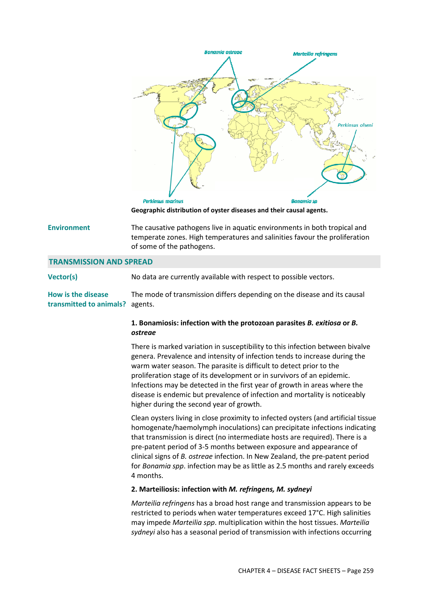

**Geographic distribution of oyster diseases and their causal agents.**

**Environment** The causative pathogens live in aquatic environments in both tropical and temperate zones. High temperatures and salinities favour the proliferation of some of the pathogens.

## **TRANSMISSION AND SPREAD**

**Vector(s)** No data are currently available with respect to possible vectors.

**How is the disease transmitted to animals?** agents. The mode of transmission differs depending on the disease and its causal

# **1. Bonamiosis: infection with the protozoan parasites** *B. exitiosa* **or** *B. ostreae*

There is marked variation in susceptibility to this infection between bivalve genera. Prevalence and intensity of infection tends to increase during the warm water season. The parasite is difficult to detect prior to the proliferation stage of its development or in survivors of an epidemic. Infections may be detected in the first year of growth in areas where the disease is endemic but prevalence of infection and mortality is noticeably higher during the second year of growth.

Clean oysters living in close proximity to infected oysters (and artificial tissue homogenate/haemolymph inoculations) can precipitate infections indicating that transmission is direct (no intermediate hosts are required). There is a pre-patent period of 3-5 months between exposure and appearance of clinical signs of *B. ostreae* infection. In New Zealand, the pre-patent period for *Bonamia spp*. infection may be as little as 2.5 months and rarely exceeds 4 months.

#### **2. Marteiliosis: infection with** *M. refringens, M. sydneyi*

*Marteilia refringens* has a broad host range and transmission appears to be restricted to periods when water temperatures exceed 17°C. High salinities may impede *Marteilia spp*. multiplication within the host tissues. *Marteilia sydneyi* also has a seasonal period of transmission with infections occurring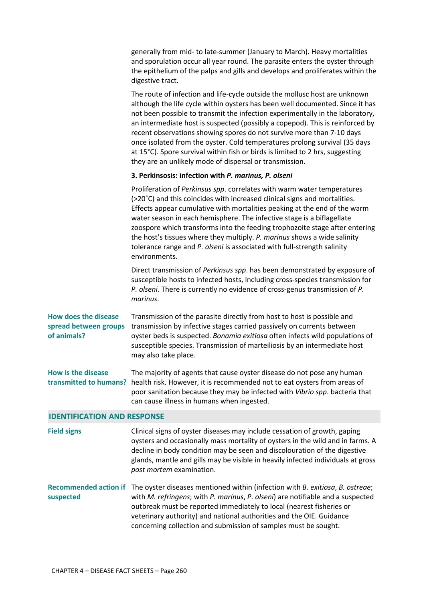generally from mid- to late-summer (January to March). Heavy mortalities and sporulation occur all year round. The parasite enters the oyster through the epithelium of the palps and gills and develops and proliferates within the digestive tract.

The route of infection and life-cycle outside the mollusc host are unknown although the life cycle within oysters has been well documented. Since it has not been possible to transmit the infection experimentally in the laboratory, an intermediate host is suspected (possibly a copepod). This is reinforced by recent observations showing spores do not survive more than 7-10 days once isolated from the oyster. Cold temperatures prolong survival (35 days at 15°C). Spore survival within fish or birds is limited to 2 hrs, suggesting they are an unlikely mode of dispersal or transmission.

# **3. Perkinsosis: infection with** *P. marinus, P. olseni*

Proliferation of *Perkinsus spp*. correlates with warm water temperatures (>20˚C) and this coincides with increased clinical signs and mortalities. Effects appear cumulative with mortalities peaking at the end of the warm water season in each hemisphere. The infective stage is a biflagellate zoospore which transforms into the feeding trophozoite stage after entering the host's tissues where they multiply. *P. marinus* shows a wide salinity tolerance range and *P. olseni* is associated with full-strength salinity environments.

Direct transmission of *Perkinsus spp*. has been demonstrated by exposure of susceptible hosts to infected hosts, including cross-species transmission for *P. olseni*. There is currently no evidence of cross-genus transmission of *P. marinus*.

**How does the disease**  spread between groups transmission by infective stages carried passively on currents between **of animals?** Transmission of the parasite directly from host to host is possible and oyster beds is suspected. *Bonamia exitiosa* often infects wild populations of susceptible species. Transmission of marteiliosis by an intermediate host may also take place.

**How is the disease**  transmitted to humans? health risk. However, it is recommended not to eat oysters from areas of The majority of agents that cause oyster disease do not pose any human poor sanitation because they may be infected with *Vibrio spp*. bacteria that can cause illness in humans when ingested.

## **IDENTIFICATION AND RESPONSE**

**Field signs** Clinical signs of oyster diseases may include cessation of growth, gaping oysters and occasionally mass mortality of oysters in the wild and in farms. A decline in body condition may be seen and discolouration of the digestive glands, mantle and gills may be visible in heavily infected individuals at gross *post mortem* examination.

Recommended action if The oyster diseases mentioned within (infection with *B. exitiosa, B. ostreae*; **suspected** with *M. refringens*; with *P. marinus*, *P. olseni*) are notifiable and a suspected outbreak must be reported immediately to local (nearest fisheries or veterinary authority) and national authorities and the OIE. Guidance concerning collection and submission of samples must be sought.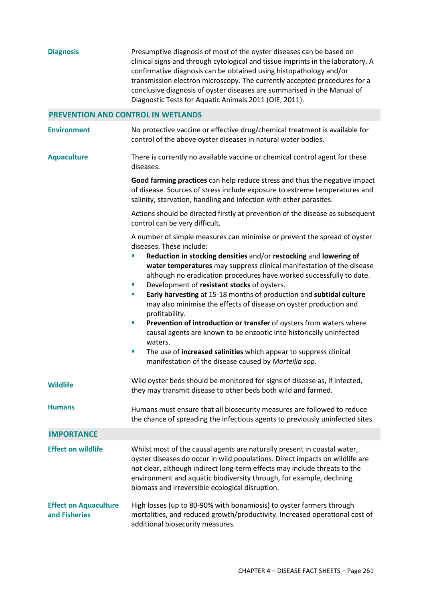| <b>Diagnosis</b>                              | Presumptive diagnosis of most of the oyster diseases can be based on<br>clinical signs and through cytological and tissue imprints in the laboratory. A<br>confirmative diagnosis can be obtained using histopathology and/or<br>transmission electron microscopy. The currently accepted procedures for a<br>conclusive diagnosis of oyster diseases are summarised in the Manual of<br>Diagnostic Tests for Aquatic Animals 2011 (OIE, 2011).                                                                                                                                                                                                                                                                                                                                                                                                            |  |
|-----------------------------------------------|------------------------------------------------------------------------------------------------------------------------------------------------------------------------------------------------------------------------------------------------------------------------------------------------------------------------------------------------------------------------------------------------------------------------------------------------------------------------------------------------------------------------------------------------------------------------------------------------------------------------------------------------------------------------------------------------------------------------------------------------------------------------------------------------------------------------------------------------------------|--|
| <b>PREVENTION AND CONTROL IN WETLANDS</b>     |                                                                                                                                                                                                                                                                                                                                                                                                                                                                                                                                                                                                                                                                                                                                                                                                                                                            |  |
| <b>Environment</b>                            | No protective vaccine or effective drug/chemical treatment is available for<br>control of the above oyster diseases in natural water bodies.                                                                                                                                                                                                                                                                                                                                                                                                                                                                                                                                                                                                                                                                                                               |  |
| <b>Aquaculture</b>                            | There is currently no available vaccine or chemical control agent for these<br>diseases.                                                                                                                                                                                                                                                                                                                                                                                                                                                                                                                                                                                                                                                                                                                                                                   |  |
|                                               | Good farming practices can help reduce stress and thus the negative impact<br>of disease. Sources of stress include exposure to extreme temperatures and<br>salinity, starvation, handling and infection with other parasites.                                                                                                                                                                                                                                                                                                                                                                                                                                                                                                                                                                                                                             |  |
|                                               | Actions should be directed firstly at prevention of the disease as subsequent<br>control can be very difficult.                                                                                                                                                                                                                                                                                                                                                                                                                                                                                                                                                                                                                                                                                                                                            |  |
|                                               | A number of simple measures can minimise or prevent the spread of oyster<br>diseases. These include:<br>Reduction in stocking densities and/or restocking and lowering of<br>I.<br>water temperatures may suppress clinical manifestation of the disease<br>although no eradication procedures have worked successfully to date.<br>Development of resistant stocks of oysters.<br>I.<br>Early harvesting at 15-18 months of production and subtidal culture<br>×<br>may also minimise the effects of disease on oyster production and<br>profitability.<br>Prevention of introduction or transfer of oysters from waters where<br>T,<br>causal agents are known to be enzootic into historically uninfected<br>waters.<br>The use of increased salinities which appear to suppress clinical<br>ш<br>manifestation of the disease caused by Marteilia spp. |  |
| <b>Wildlife</b>                               | Wild oyster beds should be monitored for signs of disease as, if infected,<br>they may transmit disease to other beds both wild and farmed.                                                                                                                                                                                                                                                                                                                                                                                                                                                                                                                                                                                                                                                                                                                |  |
| <b>Humans</b>                                 | Humans must ensure that all biosecurity measures are followed to reduce<br>the chance of spreading the infectious agents to previously uninfected sites.                                                                                                                                                                                                                                                                                                                                                                                                                                                                                                                                                                                                                                                                                                   |  |
| <b>IMPORTANCE</b>                             |                                                                                                                                                                                                                                                                                                                                                                                                                                                                                                                                                                                                                                                                                                                                                                                                                                                            |  |
| <b>Effect on wildlife</b>                     | Whilst most of the causal agents are naturally present in coastal water,<br>oyster diseases do occur in wild populations. Direct impacts on wildlife are<br>not clear, although indirect long-term effects may include threats to the<br>environment and aquatic biodiversity through, for example, declining<br>biomass and irreversible ecological disruption.                                                                                                                                                                                                                                                                                                                                                                                                                                                                                           |  |
| <b>Effect on Aquaculture</b><br>and Fisheries | High losses (up to 80-90% with bonamiosis) to oyster farmers through<br>mortalities, and reduced growth/productivity. Increased operational cost of<br>additional biosecurity measures.                                                                                                                                                                                                                                                                                                                                                                                                                                                                                                                                                                                                                                                                    |  |